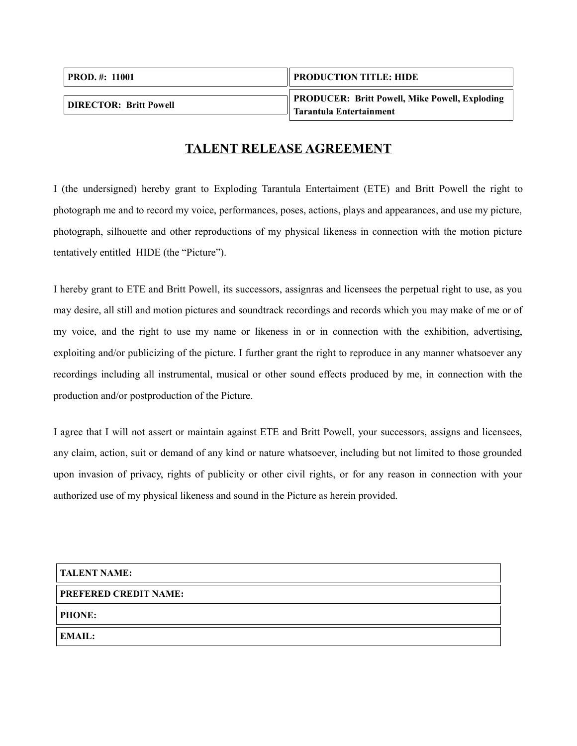| <b>PROD.</b> #: 11001         | <b>PRODUCTION TITLE: HIDE</b>                                             |
|-------------------------------|---------------------------------------------------------------------------|
| <b>DIRECTOR: Britt Powell</b> | PRODUCER: Britt Powell, Mike Powell, Exploding<br>Tarantula Entertainment |

## **TALENT RELEASE AGREEMENT**

I (the undersigned) hereby grant to Exploding Tarantula Entertaiment (ETE) and Britt Powell the right to photograph me and to record my voice, performances, poses, actions, plays and appearances, and use my picture, photograph, silhouette and other reproductions of my physical likeness in connection with the motion picture tentatively entitled HIDE (the "Picture").

I hereby grant to ETE and Britt Powell, its successors, assignras and licensees the perpetual right to use, as you may desire, all still and motion pictures and soundtrack recordings and records which you may make of me or of my voice, and the right to use my name or likeness in or in connection with the exhibition, advertising, exploiting and/or publicizing of the picture. I further grant the right to reproduce in any manner whatsoever any recordings including all instrumental, musical or other sound effects produced by me, in connection with the production and/or postproduction of the Picture.

I agree that I will not assert or maintain against ETE and Britt Powell, your successors, assigns and licensees, any claim, action, suit or demand of any kind or nature whatsoever, including but not limited to those grounded upon invasion of privacy, rights of publicity or other civil rights, or for any reason in connection with your authorized use of my physical likeness and sound in the Picture as herein provided.

**TALENT NAME:**

## **PREFERED CREDIT NAME:**

**PHONE:**

**EMAIL:**